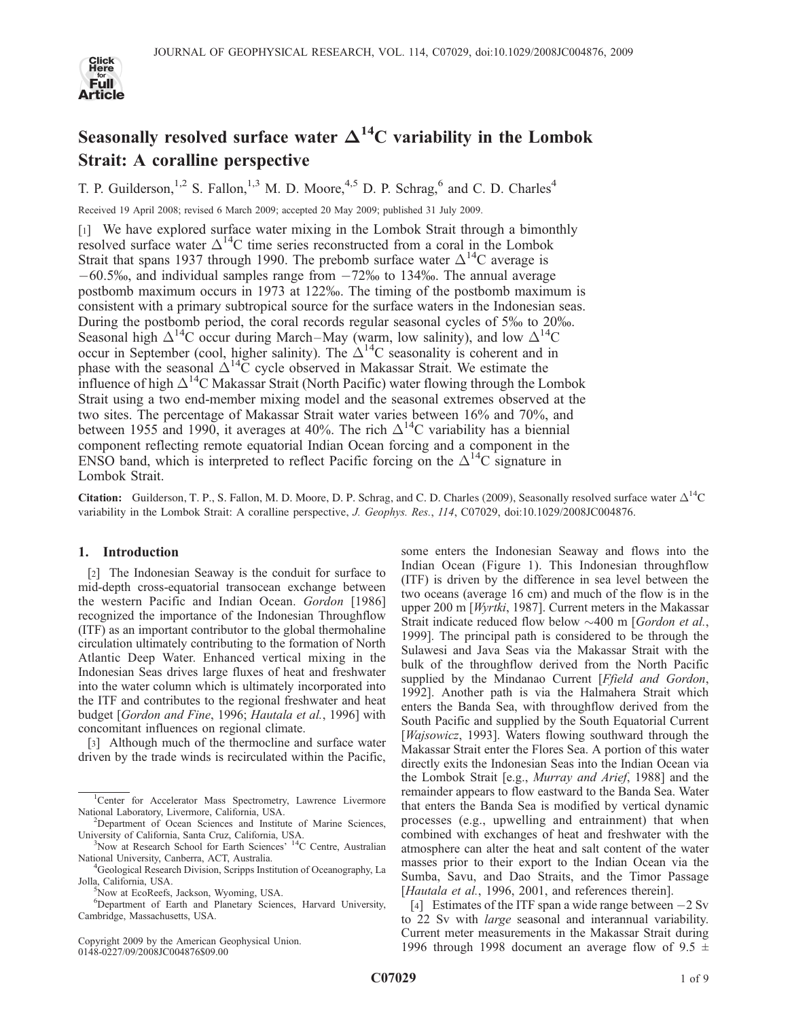

# Seasonally resolved surface water  $\Delta^{14}$ C variability in the Lombok Strait: A coralline perspective

T. P. Guilderson,<sup>1,2</sup> S. Fallon,<sup>1,3</sup> M. D. Moore,<sup>4,5</sup> D. P. Schrag,<sup>6</sup> and C. D. Charles<sup>4</sup>

Received 19 April 2008; revised 6 March 2009; accepted 20 May 2009; published 31 July 2009.

[1] We have explored surface water mixing in the Lombok Strait through a bimonthly resolved surface water  $\Delta^{14}$ C time series reconstructed from a coral in the Lombok Strait that spans 1937 through 1990. The prebomb surface water  $\Delta^{14}C$  average is  $-60.5\%$ , and individual samples range from  $-72\%$  to 134‰. The annual average postbomb maximum occurs in 1973 at 122%. The timing of the postbomb maximum is consistent with a primary subtropical source for the surface waters in the Indonesian seas. During the postbomb period, the coral records regular seasonal cycles of 5% to 20%. Seasonal high  $\Delta^{14}C$  occur during March–May (warm, low salinity), and low  $\Delta^{14}C$ occur in September (cool, higher salinity). The  $\Delta^{14}$ C seasonality is coherent and in phase with the seasonal  $\Delta^{14}C$  cycle observed in Makassar Strait. We estimate the influence of high  $\Delta^{14}$ C Makassar Strait (North Pacific) water flowing through the Lombok Strait using a two end-member mixing model and the seasonal extremes observed at the two sites. The percentage of Makassar Strait water varies between 16% and 70%, and between 1955 and 1990, it averages at 40%. The rich  $\Delta^{14}$ C variability has a biennial component reflecting remote equatorial Indian Ocean forcing and a component in the ENSO band, which is interpreted to reflect Pacific forcing on the  $\Delta^{14}C$  signature in Lombok Strait.

**Citation:** Guilderson, T. P., S. Fallon, M. D. Moore, D. P. Schrag, and C. D. Charles (2009), Seasonally resolved surface water  $\Delta^{14}C$ variability in the Lombok Strait: A coralline perspective, J. Geophys. Res., 114, C07029, doi:10.1029/2008JC004876.

# 1. Introduction

[2] The Indonesian Seaway is the conduit for surface to mid-depth cross-equatorial transocean exchange between the western Pacific and Indian Ocean. Gordon [1986] recognized the importance of the Indonesian Throughflow (ITF) as an important contributor to the global thermohaline circulation ultimately contributing to the formation of North Atlantic Deep Water. Enhanced vertical mixing in the Indonesian Seas drives large fluxes of heat and freshwater into the water column which is ultimately incorporated into the ITF and contributes to the regional freshwater and heat budget [Gordon and Fine, 1996; Hautala et al., 1996] with concomitant influences on regional climate.

[3] Although much of the thermocline and surface water driven by the trade winds is recirculated within the Pacific,

Copyright 2009 by the American Geophysical Union. 0148-0227/09/2008JC004876\$09.00

some enters the Indonesian Seaway and flows into the Indian Ocean (Figure 1). This Indonesian throughflow (ITF) is driven by the difference in sea level between the two oceans (average 16 cm) and much of the flow is in the upper 200 m [Wyrtki, 1987]. Current meters in the Makassar Strait indicate reduced flow below  $\sim$  400 m [Gordon et al., 1999]. The principal path is considered to be through the Sulawesi and Java Seas via the Makassar Strait with the bulk of the throughflow derived from the North Pacific supplied by the Mindanao Current [Ffield and Gordon, 1992]. Another path is via the Halmahera Strait which enters the Banda Sea, with throughflow derived from the South Pacific and supplied by the South Equatorial Current [*Wajsowicz*, 1993]. Waters flowing southward through the Makassar Strait enter the Flores Sea. A portion of this water directly exits the Indonesian Seas into the Indian Ocean via the Lombok Strait [e.g., Murray and Arief, 1988] and the remainder appears to flow eastward to the Banda Sea. Water that enters the Banda Sea is modified by vertical dynamic processes (e.g., upwelling and entrainment) that when combined with exchanges of heat and freshwater with the atmosphere can alter the heat and salt content of the water masses prior to their export to the Indian Ocean via the Sumba, Savu, and Dao Straits, and the Timor Passage [Hautala et al., 1996, 2001, and references therein].

[4] Estimates of the ITF span a wide range between  $-2$  Sv to 22 Sv with *large* seasonal and interannual variability. Current meter measurements in the Makassar Strait during 1996 through 1998 document an average flow of 9.5  $\pm$ 

<sup>&</sup>lt;sup>1</sup>Center for Accelerator Mass Spectrometry, Lawrence Livermore National Laboratory, Livermore, California, USA. <sup>2</sup>

<sup>&</sup>lt;sup>2</sup>Department of Ocean Sciences and Institute of Marine Sciences, University of California, Santa Cruz, California, USA. <sup>3</sup>

<sup>&</sup>lt;sup>3</sup>Now at Research School for Earth Sciences' <sup>14</sup>C Centre, Australian National University, Canberra, ACT, Australia. <sup>4</sup>

<sup>&</sup>lt;sup>4</sup>Geological Research Division, Scripps Institution of Oceanography, La Jolla, California, USA. <sup>5</sup>

<sup>&</sup>lt;sup>5</sup>Now at EcoReefs, Jackson, Wyoming, USA.

<sup>6</sup> Department of Earth and Planetary Sciences, Harvard University, Cambridge, Massachusetts, USA.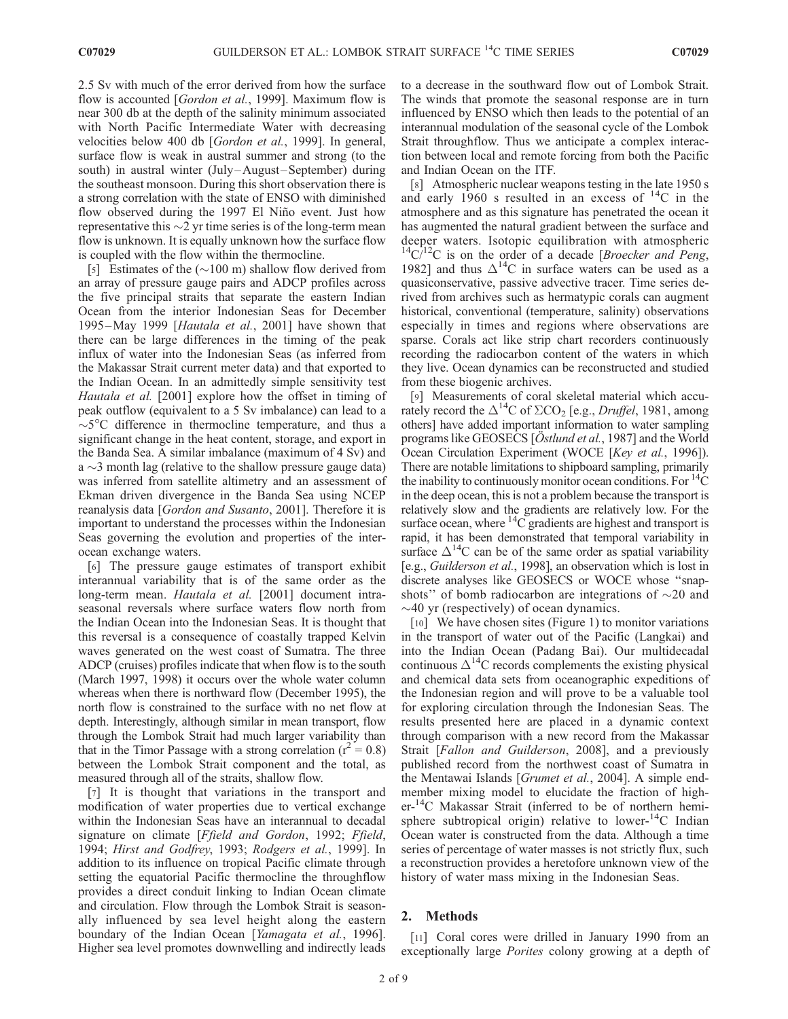2.5 Sv with much of the error derived from how the surface flow is accounted [Gordon et al., 1999]. Maximum flow is near 300 db at the depth of the salinity minimum associated with North Pacific Intermediate Water with decreasing velocities below 400 db [Gordon et al., 1999]. In general, surface flow is weak in austral summer and strong (to the south) in austral winter (July-August-September) during the southeast monsoon. During this short observation there is a strong correlation with the state of ENSO with diminished flow observed during the 1997 El Niño event. Just how representative this  $\sim$ 2 yr time series is of the long-term mean flow is unknown. It is equally unknown how the surface flow is coupled with the flow within the thermocline.

[5] Estimates of the  $(\sim 100 \text{ m})$  shallow flow derived from an array of pressure gauge pairs and ADCP profiles across the five principal straits that separate the eastern Indian Ocean from the interior Indonesian Seas for December 1995 –May 1999 [Hautala et al., 2001] have shown that there can be large differences in the timing of the peak influx of water into the Indonesian Seas (as inferred from the Makassar Strait current meter data) and that exported to the Indian Ocean. In an admittedly simple sensitivity test Hautala et al. [2001] explore how the offset in timing of peak outflow (equivalent to a 5 Sv imbalance) can lead to a  $\sim$ 5 $\degree$ C difference in thermocline temperature, and thus a significant change in the heat content, storage, and export in the Banda Sea. A similar imbalance (maximum of 4 Sv) and  $a \sim$ 3 month lag (relative to the shallow pressure gauge data) was inferred from satellite altimetry and an assessment of Ekman driven divergence in the Banda Sea using NCEP reanalysis data [Gordon and Susanto, 2001]. Therefore it is important to understand the processes within the Indonesian Seas governing the evolution and properties of the interocean exchange waters.

[6] The pressure gauge estimates of transport exhibit interannual variability that is of the same order as the long-term mean. Hautala et al. [2001] document intraseasonal reversals where surface waters flow north from the Indian Ocean into the Indonesian Seas. It is thought that this reversal is a consequence of coastally trapped Kelvin waves generated on the west coast of Sumatra. The three ADCP (cruises) profiles indicate that when flow is to the south (March 1997, 1998) it occurs over the whole water column whereas when there is northward flow (December 1995), the north flow is constrained to the surface with no net flow at depth. Interestingly, although similar in mean transport, flow through the Lombok Strait had much larger variability than that in the Timor Passage with a strong correlation ( $r^2 = 0.8$ ) between the Lombok Strait component and the total, as measured through all of the straits, shallow flow.

[7] It is thought that variations in the transport and modification of water properties due to vertical exchange within the Indonesian Seas have an interannual to decadal signature on climate [Ffield and Gordon, 1992; Ffield, 1994; Hirst and Godfrey, 1993; Rodgers et al., 1999]. In addition to its influence on tropical Pacific climate through setting the equatorial Pacific thermocline the throughflow provides a direct conduit linking to Indian Ocean climate and circulation. Flow through the Lombok Strait is seasonally influenced by sea level height along the eastern boundary of the Indian Ocean [Yamagata et al., 1996]. Higher sea level promotes downwelling and indirectly leads to a decrease in the southward flow out of Lombok Strait. The winds that promote the seasonal response are in turn influenced by ENSO which then leads to the potential of an interannual modulation of the seasonal cycle of the Lombok Strait throughflow. Thus we anticipate a complex interaction between local and remote forcing from both the Pacific and Indian Ocean on the ITF.

[8] Atmospheric nuclear weapons testing in the late 1950 s and early 1960 s resulted in an excess of  $^{14}$ C in the atmosphere and as this signature has penetrated the ocean it has augmented the natural gradient between the surface and deeper waters. Isotopic equilibration with atmospheric  $14C/12C$  is on the order of a decade [Broecker and Peng, 1982] and thus  $\Delta^{14}$ C in surface waters can be used as a quasiconservative, passive advective tracer. Time series derived from archives such as hermatypic corals can augment historical, conventional (temperature, salinity) observations especially in times and regions where observations are sparse. Corals act like strip chart recorders continuously recording the radiocarbon content of the waters in which they live. Ocean dynamics can be reconstructed and studied from these biogenic archives.

[9] Measurements of coral skeletal material which accurately record the  $\Delta^{14}$ C of  $\Sigma$ CO<sub>2</sub> [e.g., *Druffel*, 1981, among others] have added important information to water sampling programs like GEOSECS [ $\ddot{\text{O}}$ stlund et al., 1987] and the World Ocean Circulation Experiment (WOCE [Key et al., 1996]). There are notable limitations to shipboard sampling, primarily the inability to continuously monitor ocean conditions. For  ${}^{14}C$ in the deep ocean, this is not a problem because the transport is relatively slow and the gradients are relatively low. For the surface ocean, where  $14C$  gradients are highest and transport is rapid, it has been demonstrated that temporal variability in surface  $\Delta^{14}$ C can be of the same order as spatial variability [e.g., Guilderson et al., 1998], an observation which is lost in discrete analyses like GEOSECS or WOCE whose ''snapshots" of bomb radiocarbon are integrations of  $\sim$ 20 and  $\sim$ 40 yr (respectively) of ocean dynamics.

[10] We have chosen sites (Figure 1) to monitor variations in the transport of water out of the Pacific (Langkai) and into the Indian Ocean (Padang Bai). Our multidecadal continuous  $\Delta^{14}$ C records complements the existing physical and chemical data sets from oceanographic expeditions of the Indonesian region and will prove to be a valuable tool for exploring circulation through the Indonesian Seas. The results presented here are placed in a dynamic context through comparison with a new record from the Makassar Strait [Fallon and Guilderson, 2008], and a previously published record from the northwest coast of Sumatra in the Mentawai Islands [Grumet et al., 2004]. A simple endmember mixing model to elucidate the fraction of higher-<sup>14</sup>C Makassar Strait (inferred to be of northern hemisphere subtropical origin) relative to lower-<sup>14</sup>C Indian Ocean water is constructed from the data. Although a time series of percentage of water masses is not strictly flux, such a reconstruction provides a heretofore unknown view of the history of water mass mixing in the Indonesian Seas.

# 2. Methods

[11] Coral cores were drilled in January 1990 from an exceptionally large *Porites* colony growing at a depth of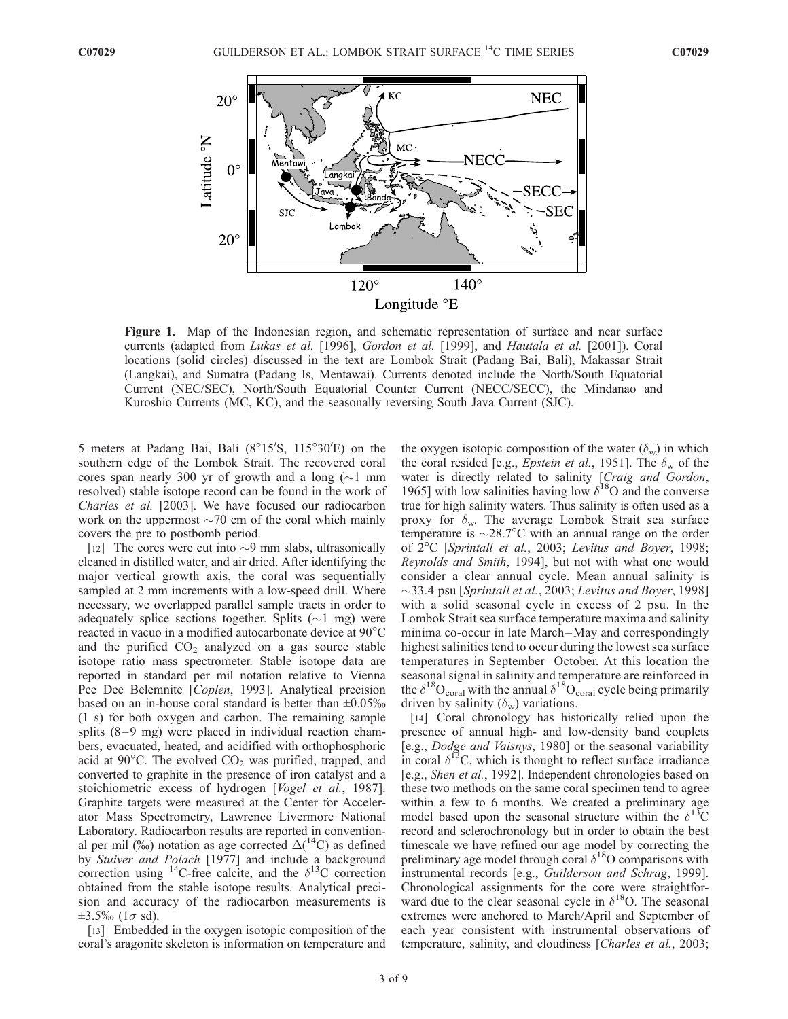

Figure 1. Map of the Indonesian region, and schematic representation of surface and near surface currents (adapted from Lukas et al. [1996], Gordon et al. [1999], and Hautala et al. [2001]). Coral locations (solid circles) discussed in the text are Lombok Strait (Padang Bai, Bali), Makassar Strait (Langkai), and Sumatra (Padang Is, Mentawai). Currents denoted include the North/South Equatorial Current (NEC/SEC), North/South Equatorial Counter Current (NECC/SECC), the Mindanao and Kuroshio Currents (MC, KC), and the seasonally reversing South Java Current (SJC).

5 meters at Padang Bai, Bali (8°15'S, 115°30'E) on the southern edge of the Lombok Strait. The recovered coral cores span nearly 300 yr of growth and a long  $(\sim]1$  mm resolved) stable isotope record can be found in the work of Charles et al. [2003]. We have focused our radiocarbon work on the uppermost  $\sim$ 70 cm of the coral which mainly covers the pre to postbomb period.

[12] The cores were cut into  $\sim$ 9 mm slabs, ultrasonically cleaned in distilled water, and air dried. After identifying the major vertical growth axis, the coral was sequentially sampled at 2 mm increments with a low-speed drill. Where necessary, we overlapped parallel sample tracts in order to adequately splice sections together. Splits  $(\sim 1$  mg) were reacted in vacuo in a modified autocarbonate device at  $90^{\circ}$ C and the purified  $CO<sub>2</sub>$  analyzed on a gas source stable isotope ratio mass spectrometer. Stable isotope data are reported in standard per mil notation relative to Vienna Pee Dee Belemnite [Coplen, 1993]. Analytical precision based on an in-house coral standard is better than  $\pm 0.05\%$ (1 s) for both oxygen and carbon. The remaining sample splits  $(8-9 \text{ mg})$  were placed in individual reaction chambers, evacuated, heated, and acidified with orthophosphoric acid at  $90^{\circ}$ C. The evolved CO<sub>2</sub> was purified, trapped, and converted to graphite in the presence of iron catalyst and a stoichiometric excess of hydrogen [Vogel et al., 1987]. Graphite targets were measured at the Center for Accelerator Mass Spectrometry, Lawrence Livermore National Laboratory. Radiocarbon results are reported in conventional per mil (‰) notation as age corrected  $\Delta(^{14}C)$  as defined by Stuiver and Polach [1977] and include a background correction using <sup>14</sup>C-free calcite, and the  $\delta^{13}$ C correction obtained from the stable isotope results. Analytical precision and accuracy of the radiocarbon measurements is  $\pm 3.5\%$  (1 $\sigma$  sd).

[13] Embedded in the oxygen isotopic composition of the coral's aragonite skeleton is information on temperature and the oxygen isotopic composition of the water  $(\delta_w)$  in which the coral resided [e.g., *Epstein et al.*, 1951]. The  $\delta_w$  of the water is directly related to salinity [Craig and Gordon, 1965] with low salinities having low  $\delta^{18}$ O and the converse true for high salinity waters. Thus salinity is often used as a proxy for  $\delta_{\rm w}$ . The average Lombok Strait sea surface temperature is  $\sim$ 28.7°C with an annual range on the order of 2°C [Sprintall et al., 2003; Levitus and Boyer, 1998; Reynolds and Smith, 1994], but not with what one would consider a clear annual cycle. Mean annual salinity is  $\sim$ 33.4 psu [Sprintall et al., 2003; Levitus and Boyer, 1998] with a solid seasonal cycle in excess of 2 psu. In the Lombok Strait sea surface temperature maxima and salinity minima co-occur in late March-May and correspondingly highest salinities tend to occur during the lowest sea surface temperatures in September –October. At this location the seasonal signal in salinity and temperature are reinforced in the  $\delta^{18}O_{\rm coral}$  with the annual  $\delta^{18}O_{\rm coral}$  cycle being primarily driven by salinity  $(\delta_w)$  variations.

[14] Coral chronology has historically relied upon the presence of annual high- and low-density band couplets [e.g., Dodge and Vaisnys, 1980] or the seasonal variability in coral  $\delta^{13}$ C, which is thought to reflect surface irradiance [e.g., Shen et al., 1992]. Independent chronologies based on these two methods on the same coral specimen tend to agree within a few to 6 months. We created a preliminary age model based upon the seasonal structure within the  $\delta^{13}C$ record and sclerochronology but in order to obtain the best timescale we have refined our age model by correcting the preliminary age model through coral  $\delta^{18}$ O comparisons with instrumental records [e.g., Guilderson and Schrag, 1999]. Chronological assignments for the core were straightforward due to the clear seasonal cycle in  $\delta^{18}O$ . The seasonal extremes were anchored to March/April and September of each year consistent with instrumental observations of temperature, salinity, and cloudiness [Charles et al., 2003;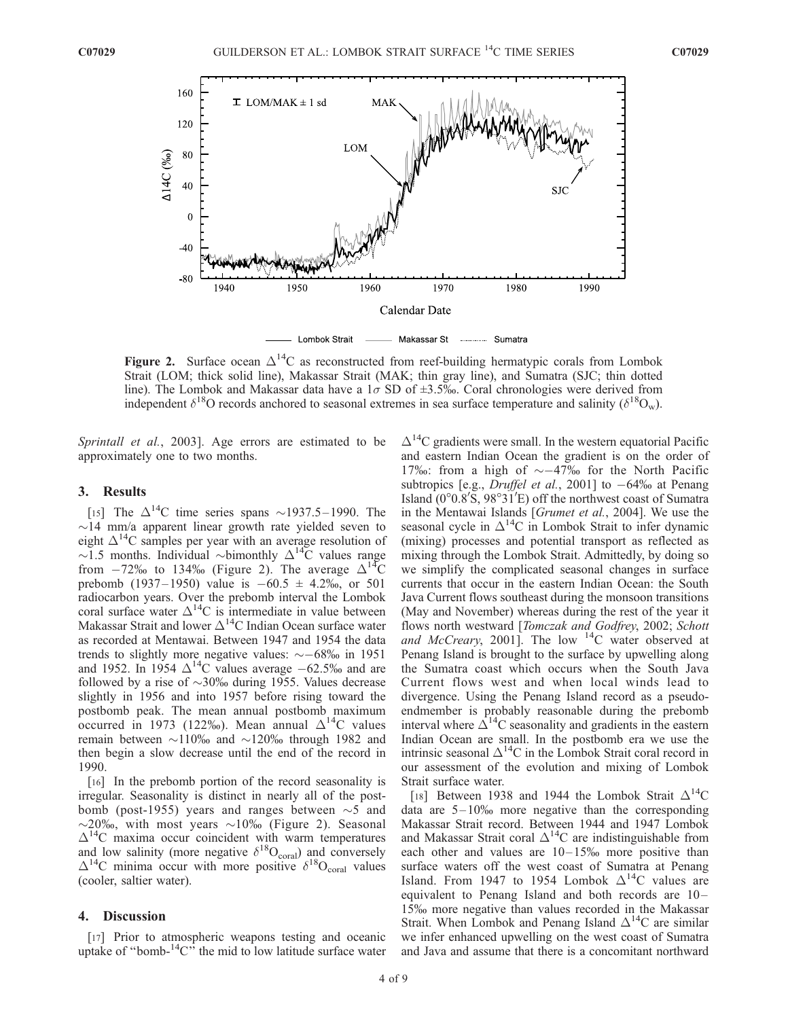

Figure 2. Surface ocean  $\Delta^{14}C$  as reconstructed from reef-building hermatypic corals from Lombok Strait (LOM; thick solid line), Makassar Strait (MAK; thin gray line), and Sumatra (SJC; thin dotted line). The Lombok and Makassar data have a  $1\sigma$  SD of  $\pm 3.5\%$ . Coral chronologies were derived from independent  $\delta^{18}O$  records anchored to seasonal extremes in sea surface temperature and salinity ( $\delta^{18}O_w$ ).

Sprintall et al., 2003]. Age errors are estimated to be approximately one to two months.

### 3. Results

[15] The  $\Delta^{14}$ C time series spans ~1937.5-1990. The  $\sim$ 14 mm/a apparent linear growth rate yielded seven to eight  $\Delta^{14}$ C samples per year with an average resolution of  $\sim$ 1.5 months. Individual  $\sim$ bimonthly  $\Delta^{14}$ C values range from  $-72\%$  to 134% (Figure 2). The average  $\Delta^{14}C$ prebomb (1937–1950) value is  $-60.5 \pm 4.2\%$ , or 501 radiocarbon years. Over the prebomb interval the Lombok coral surface water  $\Delta^{14}$ C is intermediate in value between Makassar Strait and lower  $\Delta^{14}$ C Indian Ocean surface water as recorded at Mentawai. Between 1947 and 1954 the data trends to slightly more negative values:  $\sim -68\%$  in 1951 and 1952. In 1954  $\Delta^{14}$ C values average  $-62.5\%$  and are followed by a rise of  $\sim$ 30‰ during 1955. Values decrease slightly in 1956 and into 1957 before rising toward the postbomb peak. The mean annual postbomb maximum occurred in 1973 (122‰). Mean annual  $\Delta^{14}C$  values remain between  $\sim$ 110‰ and  $\sim$ 120‰ through 1982 and then begin a slow decrease until the end of the record in 1990.

[16] In the prebomb portion of the record seasonality is irregular. Seasonality is distinct in nearly all of the postbomb (post-1955) years and ranges between  $\sim$ 5 and  $\sim$ 20‰, with most years  $\sim$ 10‰ (Figure 2). Seasonal  $\Delta^{14}$ C maxima occur coincident with warm temperatures and low salinity (more negative  $\delta^{18}O_{\text{coral}}$ ) and conversely  $\Delta^{14}$ C minima occur with more positive  $\delta^{18}$ O<sub>coral</sub> values (cooler, saltier water).

#### 4. Discussion

[17] Prior to atmospheric weapons testing and oceanic uptake of "bomb- ${}^{14}$ C" the mid to low latitude surface water  $\Delta^{14}$ C gradients were small. In the western equatorial Pacific and eastern Indian Ocean the gradient is on the order of 17‰: from a high of  $\sim$  -47‰ for the North Pacific subtropics [e.g., *Druffel et al.*, 2001] to  $-64\%$  at Penang Island  $(0^{\circ}0.8'5, 98^{\circ}31'E)$  off the northwest coast of Sumatra in the Mentawai Islands [Grumet et al., 2004]. We use the seasonal cycle in  $\Delta^{14}$ C in Lombok Strait to infer dynamic (mixing) processes and potential transport as reflected as mixing through the Lombok Strait. Admittedly, by doing so we simplify the complicated seasonal changes in surface currents that occur in the eastern Indian Ocean: the South Java Current flows southeast during the monsoon transitions (May and November) whereas during the rest of the year it flows north westward [Tomczak and Godfrey, 2002; Schott and McCreary, 2001]. The low  $14C$  water observed at Penang Island is brought to the surface by upwelling along the Sumatra coast which occurs when the South Java Current flows west and when local winds lead to divergence. Using the Penang Island record as a pseudoendmember is probably reasonable during the prebomb interval where  $\Delta^{14}$ C seasonality and gradients in the eastern Indian Ocean are small. In the postbomb era we use the intrinsic seasonal  $\Delta^{14}$ C in the Lombok Strait coral record in our assessment of the evolution and mixing of Lombok Strait surface water.

[18] Between 1938 and 1944 the Lombok Strait  $\Delta^{14}C$ data are  $5 - 10\%$  more negative than the corresponding Makassar Strait record. Between 1944 and 1947 Lombok and Makassar Strait coral  $\Delta^{14}$ C are indistinguishable from each other and values are  $10-15%$  more positive than surface waters off the west coast of Sumatra at Penang Island. From 1947 to 1954 Lombok  $\Delta^{14}$ C values are equivalent to Penang Island and both records are 10-15% more negative than values recorded in the Makassar Strait. When Lombok and Penang Island  $\Delta^{14}C$  are similar we infer enhanced upwelling on the west coast of Sumatra and Java and assume that there is a concomitant northward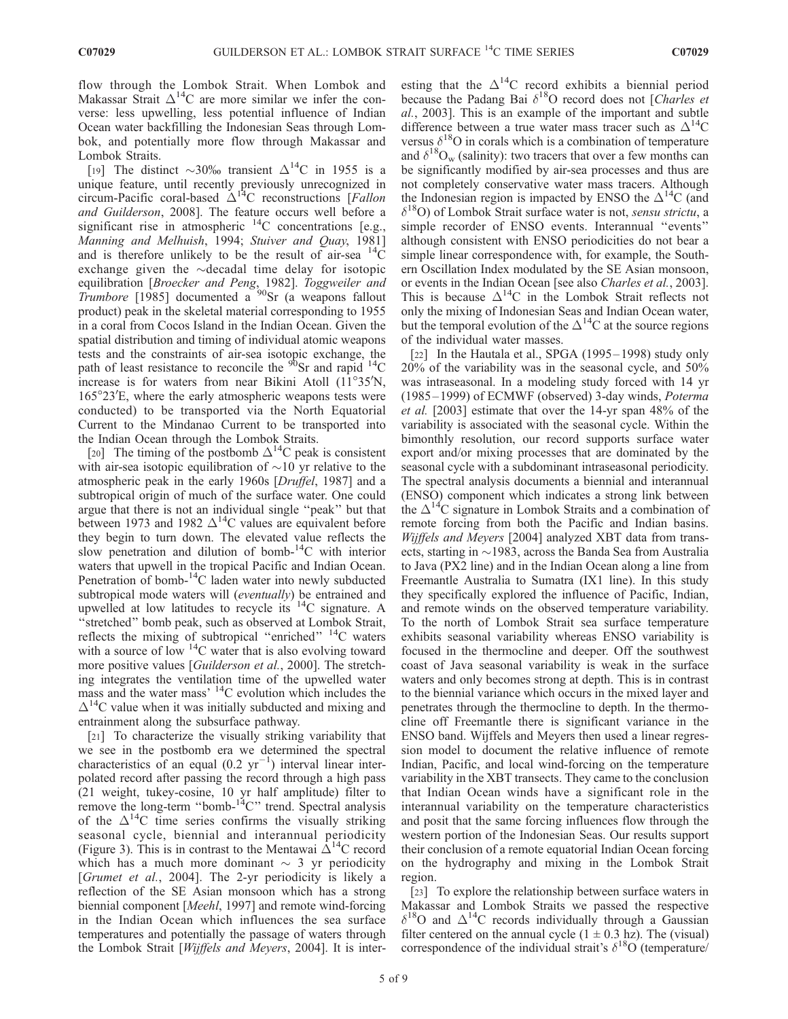flow through the Lombok Strait. When Lombok and Makassar Strait  $\Delta^{14}C$  are more similar we infer the converse: less upwelling, less potential influence of Indian Ocean water backfilling the Indonesian Seas through Lombok, and potentially more flow through Makassar and Lombok Straits.

[19] The distinct  $\sim$ 30% transient  $\Delta^{14}$ C in 1955 is a unique feature, until recently previously unrecognized in circum-Pacific coral-based  $\Delta^{14}C$  reconstructions [Fallon and Guilderson, 2008]. The feature occurs well before a significant rise in atmospheric  $^{14}$ C concentrations [e.g., Manning and Melhuish, 1994; Stuiver and Quay, 1981] and is therefore unlikely to be the result of air-sea  ${}^{14}C$ exchange given the  $\sim$ decadal time delay for isotopic equilibration [Broecker and Peng, 1982]. Toggweiler and Trumbore [1985] documented a  $90$ Sr (a weapons fallout product) peak in the skeletal material corresponding to 1955 in a coral from Cocos Island in the Indian Ocean. Given the spatial distribution and timing of individual atomic weapons tests and the constraints of air-sea isotopic exchange, the path of least resistance to reconcile the  $90$ Sr and rapid  $14$ C increase is for waters from near Bikini Atoll  $(11^{\circ}35^{\prime}N,$ 165°23'E, where the early atmospheric weapons tests were conducted) to be transported via the North Equatorial Current to the Mindanao Current to be transported into the Indian Ocean through the Lombok Straits.

[20] The timing of the postbomb  $\Delta^{14}$ C peak is consistent with air-sea isotopic equilibration of  $\sim$ 10 yr relative to the atmospheric peak in the early 1960s [Druffel, 1987] and a subtropical origin of much of the surface water. One could argue that there is not an individual single ''peak'' but that between 1973 and 1982  $\Delta^{14}$ C values are equivalent before they begin to turn down. The elevated value reflects the slow penetration and dilution of bomb- $14C$  with interior waters that upwell in the tropical Pacific and Indian Ocean. Penetration of bomb- $^{14}$ C laden water into newly subducted subtropical mode waters will (eventually) be entrained and upwelled at low latitudes to recycle its  $14C$  signature. A ''stretched'' bomb peak, such as observed at Lombok Strait, reflects the mixing of subtropical "enriched"  $^{14}$ C waters with a source of low  $14C$  water that is also evolving toward more positive values [Guilderson et al., 2000]. The stretching integrates the ventilation time of the upwelled water mass and the water mass<sup>, 14</sup>C evolution which includes the  $\Delta^{14}$ C value when it was initially subducted and mixing and entrainment along the subsurface pathway.

[21] To characterize the visually striking variability that we see in the postbomb era we determined the spectral characteristics of an equal  $(0.2 \text{ yr}^{-1})$  interval linear interpolated record after passing the record through a high pass (21 weight, tukey-cosine, 10 yr half amplitude) filter to remove the long-term "bomb-<sup>14</sup>C" trend. Spectral analysis of the  $\Delta^{14}C$  time series confirms the visually striking seasonal cycle, biennial and interannual periodicity (Figure 3). This is in contrast to the Mentawai  $\Delta^{14}$ C record which has a much more dominant  $\sim$  3 yr periodicity [Grumet et al., 2004]. The 2-yr periodicity is likely a reflection of the SE Asian monsoon which has a strong biennial component [*Meehl*, 1997] and remote wind-forcing in the Indian Ocean which influences the sea surface temperatures and potentially the passage of waters through the Lombok Strait [Wijffels and Meyers, 2004]. It is inter-

esting that the  $\Delta^{14}$ C record exhibits a biennial period because the Padang Bai  $\delta^{18}O$  record does not [Charles et al., 2003]. This is an example of the important and subtle difference between a true water mass tracer such as  $\Delta^{14}C$ versus  $\delta^{18}$ O in corals which is a combination of temperature and  $\delta^{18}O_w$  (salinity): two tracers that over a few months can be significantly modified by air-sea processes and thus are not completely conservative water mass tracers. Although the Indonesian region is impacted by ENSO the  $\Delta^{14}C$  (and  $\delta^{18}$ O) of Lombok Strait surface water is not, sensu strictu, a simple recorder of ENSO events. Interannual ''events'' although consistent with ENSO periodicities do not bear a simple linear correspondence with, for example, the Southern Oscillation Index modulated by the SE Asian monsoon, or events in the Indian Ocean [see also Charles et al., 2003]. This is because  $\Delta^{14}C$  in the Lombok Strait reflects not only the mixing of Indonesian Seas and Indian Ocean water, but the temporal evolution of the  $\Delta^{14}$ C at the source regions of the individual water masses.

[22] In the Hautala et al., SPGA (1995–1998) study only 20% of the variability was in the seasonal cycle, and 50% was intraseasonal. In a modeling study forced with 14 yr (1985– 1999) of ECMWF (observed) 3-day winds, Poterma et al. [2003] estimate that over the 14-yr span 48% of the variability is associated with the seasonal cycle. Within the bimonthly resolution, our record supports surface water export and/or mixing processes that are dominated by the seasonal cycle with a subdominant intraseasonal periodicity. The spectral analysis documents a biennial and interannual (ENSO) component which indicates a strong link between the  $\Delta^{14}C$  signature in Lombok Straits and a combination of remote forcing from both the Pacific and Indian basins. Wijffels and Meyers [2004] analyzed XBT data from transects, starting in  $\sim$ 1983, across the Banda Sea from Australia to Java (PX2 line) and in the Indian Ocean along a line from Freemantle Australia to Sumatra (IX1 line). In this study they specifically explored the influence of Pacific, Indian, and remote winds on the observed temperature variability. To the north of Lombok Strait sea surface temperature exhibits seasonal variability whereas ENSO variability is focused in the thermocline and deeper. Off the southwest coast of Java seasonal variability is weak in the surface waters and only becomes strong at depth. This is in contrast to the biennial variance which occurs in the mixed layer and penetrates through the thermocline to depth. In the thermocline off Freemantle there is significant variance in the ENSO band. Wijffels and Meyers then used a linear regression model to document the relative influence of remote Indian, Pacific, and local wind-forcing on the temperature variability in the XBT transects. They came to the conclusion that Indian Ocean winds have a significant role in the interannual variability on the temperature characteristics and posit that the same forcing influences flow through the western portion of the Indonesian Seas. Our results support their conclusion of a remote equatorial Indian Ocean forcing on the hydrography and mixing in the Lombok Strait region.

[23] To explore the relationship between surface waters in Makassar and Lombok Straits we passed the respective  $\delta^{18}$ O and  $\Delta^{14}$ C records individually through a Gaussian filter centered on the annual cycle  $(1 \pm 0.3 \text{ hz})$ . The (visual) correspondence of the individual strait's  $\delta^{18}$ O (temperature/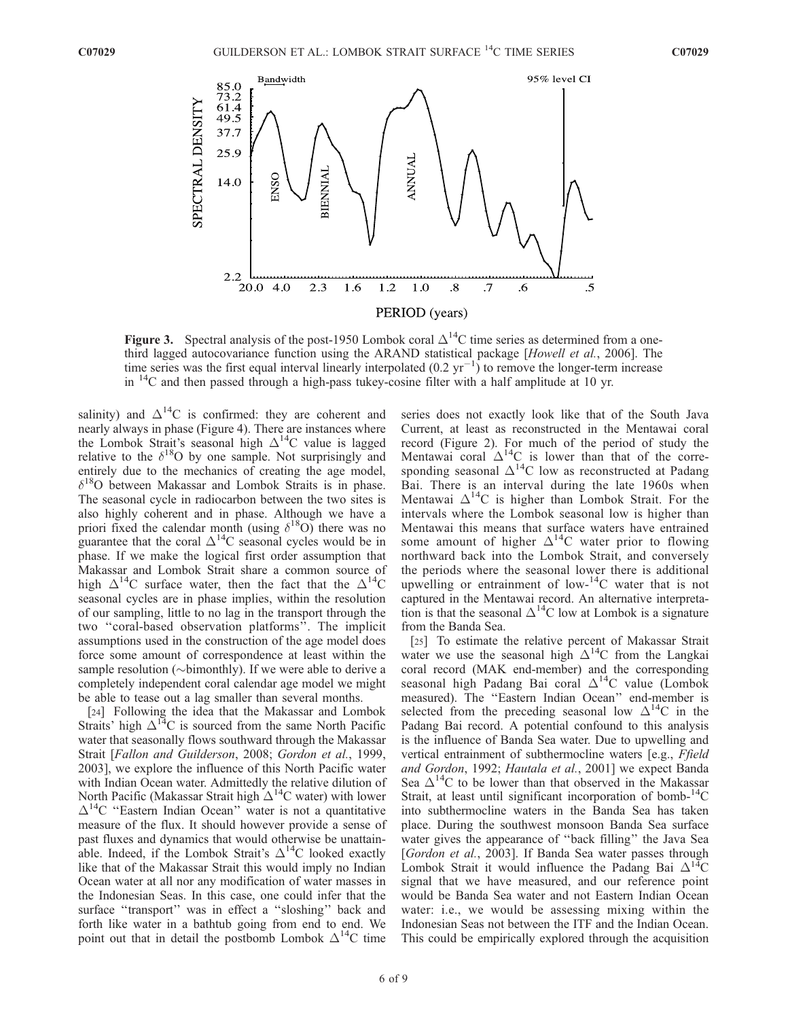

Figure 3. Spectral analysis of the post-1950 Lombok coral  $\Delta^{14}C$  time series as determined from a onethird lagged autocovariance function using the ARAND statistical package [Howell et al., 2006]. The time series was the first equal interval linearly interpolated  $(0.2 \text{ yr}^{-1})$  to remove the longer-term increase in  $^{14}$ C and then passed through a high-pass tukey-cosine filter with a half amplitude at 10 yr.

salinity) and  $\Delta^{14}C$  is confirmed: they are coherent and nearly always in phase (Figure 4). There are instances where the Lombok Strait's seasonal high  $\Delta^{14}$ C value is lagged relative to the  $\delta^{18}$ O by one sample. Not surprisingly and entirely due to the mechanics of creating the age model,  $\delta^{18}$ O between Makassar and Lombok Straits is in phase. The seasonal cycle in radiocarbon between the two sites is also highly coherent and in phase. Although we have a priori fixed the calendar month (using  $\delta^{18}$ O) there was no guarantee that the coral  $\Delta^{14}$ C seasonal cycles would be in phase. If we make the logical first order assumption that Makassar and Lombok Strait share a common source of high  $\Delta^{14}$ C surface water, then the fact that the  $\Delta^{14}$ C seasonal cycles are in phase implies, within the resolution of our sampling, little to no lag in the transport through the two ''coral-based observation platforms''. The implicit assumptions used in the construction of the age model does force some amount of correspondence at least within the sample resolution ( $\sim$ bimonthly). If we were able to derive a completely independent coral calendar age model we might be able to tease out a lag smaller than several months.

[24] Following the idea that the Makassar and Lombok Straits' high  $\Delta^{14}$ C is sourced from the same North Pacific water that seasonally flows southward through the Makassar Strait [Fallon and Guilderson, 2008; Gordon et al., 1999, 2003], we explore the influence of this North Pacific water with Indian Ocean water. Admittedly the relative dilution of North Pacific (Makassar Strait high  $\Delta^{14}$ C water) with lower  $\Delta^{14}$ C "Eastern Indian Ocean" water is not a quantitative measure of the flux. It should however provide a sense of past fluxes and dynamics that would otherwise be unattainable. Indeed, if the Lombok Strait's  $\Delta^{14}$ C looked exactly like that of the Makassar Strait this would imply no Indian Ocean water at all nor any modification of water masses in the Indonesian Seas. In this case, one could infer that the surface "transport" was in effect a "sloshing" back and forth like water in a bathtub going from end to end. We point out that in detail the postbomb Lombok  $\Delta^{14}$ C time

series does not exactly look like that of the South Java Current, at least as reconstructed in the Mentawai coral record (Figure 2). For much of the period of study the Mentawai coral  $\Delta^{14}C$  is lower than that of the corresponding seasonal  $\Delta^{14}$ C low as reconstructed at Padang Bai. There is an interval during the late 1960s when Mentawai  $\Delta^{14}C$  is higher than Lombok Strait. For the intervals where the Lombok seasonal low is higher than Mentawai this means that surface waters have entrained some amount of higher  $\Delta^{14}$ C water prior to flowing northward back into the Lombok Strait, and conversely the periods where the seasonal lower there is additional upwelling or entrainment of low-14C water that is not captured in the Mentawai record. An alternative interpretation is that the seasonal  $\Delta^{14}$ C low at Lombok is a signature from the Banda Sea.

[25] To estimate the relative percent of Makassar Strait water we use the seasonal high  $\Delta^{14}C$  from the Langkai coral record (MAK end-member) and the corresponding seasonal high Padang Bai coral  $\Delta^{14}$ C value (Lombok measured). The ''Eastern Indian Ocean'' end-member is selected from the preceding seasonal low  $\Delta^{14}C$  in the Padang Bai record. A potential confound to this analysis is the influence of Banda Sea water. Due to upwelling and vertical entrainment of subthermocline waters [e.g., Ffield and Gordon, 1992; Hautala et al., 2001] we expect Banda Sea  $\Delta^{14}$ C to be lower than that observed in the Makassar Strait, at least until significant incorporation of bomb- $^{14}C$ into subthermocline waters in the Banda Sea has taken place. During the southwest monsoon Banda Sea surface water gives the appearance of ''back filling'' the Java Sea [Gordon et al., 2003]. If Banda Sea water passes through Lombok Strait it would influence the Padang Bai  $\Delta^{14}C$ signal that we have measured, and our reference point would be Banda Sea water and not Eastern Indian Ocean water: i.e., we would be assessing mixing within the Indonesian Seas not between the ITF and the Indian Ocean. This could be empirically explored through the acquisition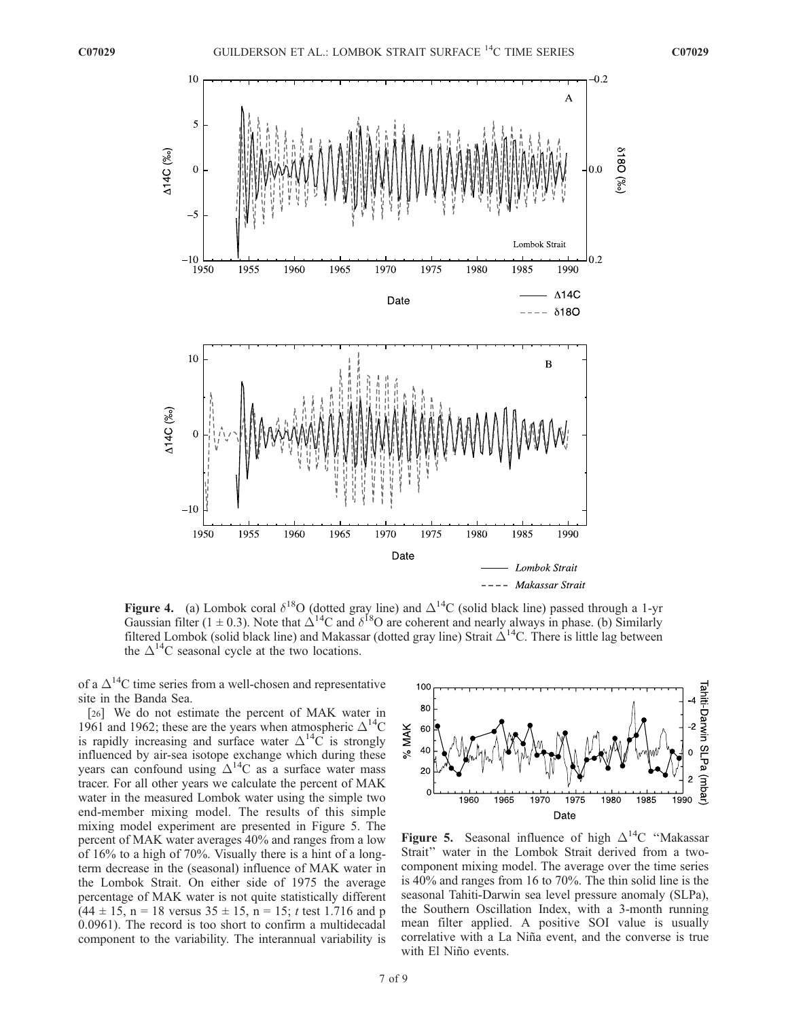

**Figure 4.** (a) Lombok coral  $\delta^{18}$ O (dotted gray line) and  $\Delta^{14}$ C (solid black line) passed through a 1-yr Gaussian filter (1  $\pm$  0.3). Note that  $\Delta^{14}$ C and  $\delta^{18}$ O are coherent and nearly always in phase. (b) Similarly filtered Lombok (solid black line) and Makassar (dotted gray line) Strait  $\Delta^{14}$ C. There is little lag between the  $\Delta^{14}$ C seasonal cycle at the two locations.

of a  $\Delta^{14}$ C time series from a well-chosen and representative site in the Banda Sea.

[26] We do not estimate the percent of MAK water in 1961 and 1962; these are the years when atmospheric  $\Delta^{14}C$ is rapidly increasing and surface water  $\Delta^{14}C$  is strongly influenced by air-sea isotope exchange which during these years can confound using  $\Delta^{14}C$  as a surface water mass tracer. For all other years we calculate the percent of MAK water in the measured Lombok water using the simple two end-member mixing model. The results of this simple mixing model experiment are presented in Figure 5. The percent of MAK water averages 40% and ranges from a low of 16% to a high of 70%. Visually there is a hint of a longterm decrease in the (seasonal) influence of MAK water in the Lombok Strait. On either side of 1975 the average percentage of MAK water is not quite statistically different  $(44 \pm 15, n = 18$  versus  $35 \pm 15, n = 15$ ; t test 1.716 and p 0.0961). The record is too short to confirm a multidecadal component to the variability. The interannual variability is



**Figure 5.** Seasonal influence of high  $\Delta^{14}C$  "Makassar" Strait'' water in the Lombok Strait derived from a twocomponent mixing model. The average over the time series is 40% and ranges from 16 to 70%. The thin solid line is the seasonal Tahiti-Darwin sea level pressure anomaly (SLPa), the Southern Oscillation Index, with a 3-month running mean filter applied. A positive SOI value is usually correlative with a La Niña event, and the converse is true with El Niño events.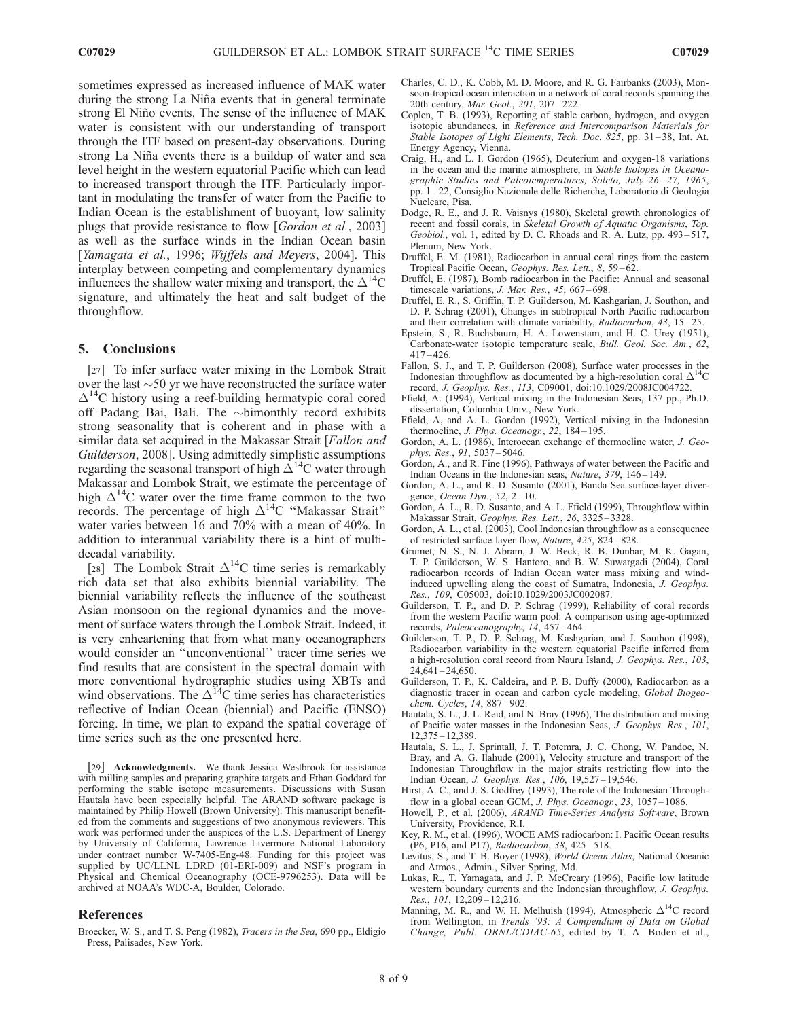sometimes expressed as increased influence of MAK water during the strong La Niña events that in general terminate strong El Niño events. The sense of the influence of MAK water is consistent with our understanding of transport through the ITF based on present-day observations. During strong La Niña events there is a buildup of water and sea level height in the western equatorial Pacific which can lead to increased transport through the ITF. Particularly important in modulating the transfer of water from the Pacific to Indian Ocean is the establishment of buoyant, low salinity plugs that provide resistance to flow [*Gordon et al.*, 2003] as well as the surface winds in the Indian Ocean basin [Yamagata et al., 1996; Wijffels and Meyers, 2004]. This interplay between competing and complementary dynamics influences the shallow water mixing and transport, the  $\Delta^{14}C$ signature, and ultimately the heat and salt budget of the throughflow.

#### 5. Conclusions

[27] To infer surface water mixing in the Lombok Strait over the last  $\sim$  50 yr we have reconstructed the surface water  $\Delta^{14}$ C history using a reef-building hermatypic coral cored off Padang Bai, Bali. The ~bimonthly record exhibits strong seasonality that is coherent and in phase with a similar data set acquired in the Makassar Strait [*Fallon and* Guilderson, 2008]. Using admittedly simplistic assumptions regarding the seasonal transport of high  $\Delta^{14}$ C water through Makassar and Lombok Strait, we estimate the percentage of high  $\Delta^{14}$ C water over the time frame common to the two records. The percentage of high  $\Delta^{14}$ C "Makassar Strait" water varies between 16 and 70% with a mean of 40%. In addition to interannual variability there is a hint of multidecadal variability.

[28] The Lombok Strait  $\Delta^{14}$ C time series is remarkably rich data set that also exhibits biennial variability. The biennial variability reflects the influence of the southeast Asian monsoon on the regional dynamics and the movement of surface waters through the Lombok Strait. Indeed, it is very enheartening that from what many oceanographers would consider an ''unconventional'' tracer time series we find results that are consistent in the spectral domain with more conventional hydrographic studies using XBTs and wind observations. The  $\Delta^{14}$ C time series has characteristics reflective of Indian Ocean (biennial) and Pacific (ENSO) forcing. In time, we plan to expand the spatial coverage of time series such as the one presented here.

[29] **Acknowledgments.** We thank Jessica Westbrook for assistance with milling samples and preparing graphite targets and Ethan Goddard for performing the stable isotope measurements. Discussions with Susan Hautala have been especially helpful. The ARAND software package is maintained by Philip Howell (Brown University). This manuscript benefited from the comments and suggestions of two anonymous reviewers. This work was performed under the auspices of the U.S. Department of Energy by University of California, Lawrence Livermore National Laboratory under contract number W-7405-Eng-48. Funding for this project was supplied by UC/LLNL LDRD (01-ERI-009) and NSF's program in Physical and Chemical Oceanography (OCE-9796253). Data will be archived at NOAA's WDC-A, Boulder, Colorado.

#### References

Broecker, W. S., and T. S. Peng (1982), Tracers in the Sea, 690 pp., Eldigio Press, Palisades, New York.

- Charles, C. D., K. Cobb, M. D. Moore, and R. G. Fairbanks (2003), Monsoon-tropical ocean interaction in a network of coral records spanning the 20th century, Mar. Geol., 201, 207 – 222.
- Coplen, T. B. (1993), Reporting of stable carbon, hydrogen, and oxygen isotopic abundances, in Reference and Intercomparison Materials for Stable Isotopes of Light Elements, Tech. Doc.  $825$ , pp.  $31-38$ , Int. At. Energy Agency, Vienna.
- Craig, H., and L. I. Gordon (1965), Deuterium and oxygen-18 variations in the ocean and the marine atmosphere, in Stable Isotopes in Oceanographic Studies and Paleotemperatures, Soleto, July 26-27, 1965, pp. 1 – 22, Consiglio Nazionale delle Richerche, Laboratorio di Geologia Nucleare, Pisa.
- Dodge, R. E., and J. R. Vaisnys (1980), Skeletal growth chronologies of recent and fossil corals, in Skeletal Growth of Aquatic Organisms, Top. Geobiol., vol. 1, edited by D. C. Rhoads and R. A. Lutz, pp. 493-517, Plenum, New York.
- Druffel, E. M. (1981), Radiocarbon in annual coral rings from the eastern Tropical Pacific Ocean, Geophys. Res. Lett., 8, 59-62.
- Druffel, E. (1987), Bomb radiocarbon in the Pacific: Annual and seasonal timescale variations, J. Mar. Res., 45, 667-698.
- Druffel, E. R., S. Griffin, T. P. Guilderson, M. Kashgarian, J. Southon, and D. P. Schrag (2001), Changes in subtropical North Pacific radiocarbon and their correlation with climate variability, Radiocarbon, 43, 15-25.
- Epstein, S., R. Buchsbaum, H. A. Lowenstam, and H. C. Urey (1951), Carbonate-water isotopic temperature scale, Bull. Geol. Soc. Am., 62,  $417 - 426$ .
- Fallon, S. J., and T. P. Guilderson (2008), Surface water processes in the Indonesian throughflow as documented by a high-resolution coral  $\Delta^{14}C$ record, J. Geophys. Res., 113, C09001, doi:10.1029/2008JC004722.
- Ffield, A. (1994), Vertical mixing in the Indonesian Seas, 137 pp., Ph.D. dissertation, Columbia Univ., New York.
- Ffield, A, and A. L. Gordon (1992), Vertical mixing in the Indonesian thermocline, J. Phys. Oceanogr., 22, 184-195.
- Gordon, A. L. (1986), Interocean exchange of thermocline water, J. Geophys. Res., 91, 5037-5046.
- Gordon, A., and R. Fine (1996), Pathways of water between the Pacific and Indian Oceans in the Indonesian seas, Nature, 379, 146 – 149.
- Gordon, A. L., and R. D. Susanto (2001), Banda Sea surface-layer divergence, Ocean Dyn., 52, 2-10.
- Gordon, A. L., R. D. Susanto, and A. L. Ffield (1999), Throughflow within Makassar Strait, Geophys. Res. Lett., 26, 3325 – 3328.
- Gordon, A. L., et al. (2003), Cool Indonesian throughflow as a consequence of restricted surface layer flow, Nature, 425, 824 – 828.
- Grumet, N. S., N. J. Abram, J. W. Beck, R. B. Dunbar, M. K. Gagan, T. P. Guilderson, W. S. Hantoro, and B. W. Suwargadi (2004), Coral radiocarbon records of Indian Ocean water mass mixing and windinduced upwelling along the coast of Sumatra, Indonesia, J. Geophys. Res., 109, C05003, doi:10.1029/2003JC002087.
- Guilderson, T. P., and D. P. Schrag (1999), Reliability of coral records from the western Pacific warm pool: A comparison using age-optimized records, Paleoceanography, 14, 457 – 464.
- Guilderson, T. P., D. P. Schrag, M. Kashgarian, and J. Southon (1998), Radiocarbon variability in the western equatorial Pacific inferred from a high-resolution coral record from Nauru Island, J. Geophys. Res., 103,  $24,641 - 24,650.$
- Guilderson, T. P., K. Caldeira, and P. B. Duffy (2000), Radiocarbon as a diagnostic tracer in ocean and carbon cycle modeling, Global Biogeochem. Cycles, 14, 887 – 902.
- Hautala, S. L., J. L. Reid, and N. Bray (1996), The distribution and mixing of Pacific water masses in the Indonesian Seas, J. Geophys. Res., 101, 12,375 – 12,389.
- Hautala, S. L., J. Sprintall, J. T. Potemra, J. C. Chong, W. Pandoe, N. Bray, and A. G. Ilahude (2001), Velocity structure and transport of the Indonesian Throughflow in the major straits restricting flow into the Indian Ocean, J. Geophys. Res., 106, 19,527 – 19,546.
- Hirst, A. C., and J. S. Godfrey (1993), The role of the Indonesian Throughflow in a global ocean GCM, J. Phys. Oceanogr., 23, 1057-1086.
- Howell, P., et al. (2006), ARAND Time-Series Analysis Software, Brown University, Providence, R.I.
- Key, R. M., et al. (1996), WOCE AMS radiocarbon: I. Pacific Ocean results (P6, P16, and P17), Radiocarbon, 38, 425 – 518.
- Levitus, S., and T. B. Boyer (1998), World Ocean Atlas, National Oceanic and Atmos., Admin., Silver Spring, Md.
- Lukas, R., T. Yamagata, and J. P. McCreary (1996), Pacific low latitude western boundary currents and the Indonesian throughflow, J. Geophys. Res., 101, 12,209 - 12,216.
- Manning, M. R., and W. H. Melhuish (1994), Atmospheric  $\Delta^{14}C$  record from Wellington, in Trends '93: A Compendium of Data on Global Change, Publ. ORNL/CDIAC-65, edited by T. A. Boden et al.,